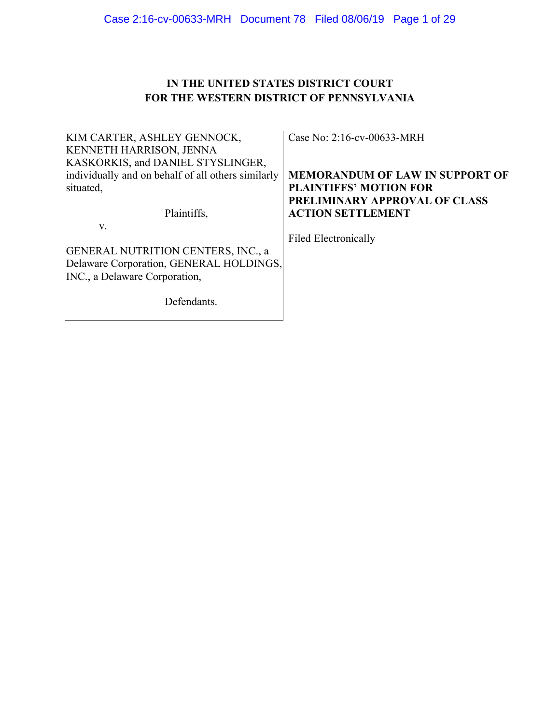# **IN THE UNITED STATES DISTRICT COURT FOR THE WESTERN DISTRICT OF PENNSYLVANIA**

| KIM CARTER, ASHLEY GENNOCK,                        | Case No: 2:16-cv-00633-MRH             |
|----------------------------------------------------|----------------------------------------|
| <b>KENNETH HARRISON, JENNA</b>                     |                                        |
| KASKORKIS, and DANIEL STYSLINGER,                  |                                        |
| individually and on behalf of all others similarly | <b>MEMORANDUM OF LAW IN SUPPORT OF</b> |
| situated,                                          | <b>PLAINTIFFS' MOTION FOR</b>          |
|                                                    | <b>PRELIMINARY APPROVAL OF CLASS</b>   |
| Plaintiffs,                                        | <b>ACTION SETTLEMENT</b>               |
| V.                                                 |                                        |
|                                                    | <b>Filed Electronically</b>            |
| <b>GENERAL NUTRITION CENTERS, INC., a</b>          |                                        |
| Delaware Corporation, GENERAL HOLDINGS,            |                                        |
| INC., a Delaware Corporation,                      |                                        |
|                                                    |                                        |
| Defendants.                                        |                                        |
|                                                    |                                        |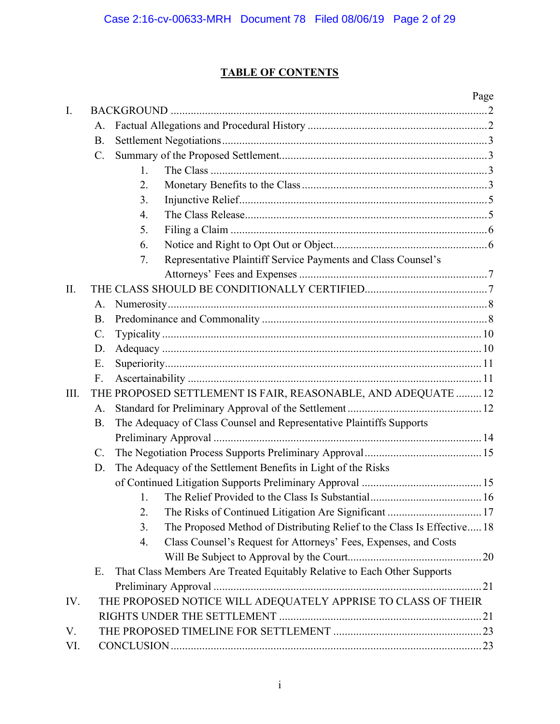# **TABLE OF CONTENTS**

|                |                 |                                                                               | Page |
|----------------|-----------------|-------------------------------------------------------------------------------|------|
| $\mathbf{I}$ . |                 |                                                                               |      |
|                | A.              |                                                                               |      |
|                | $B$ .           |                                                                               |      |
|                | $\mathcal{C}$ . |                                                                               |      |
|                |                 | $\mathbf{1}$ .                                                                |      |
|                |                 | 2.                                                                            |      |
|                |                 | 3.                                                                            |      |
|                |                 | $\overline{4}$ .                                                              |      |
|                |                 | 5.                                                                            |      |
|                |                 | 6.                                                                            |      |
|                |                 | Representative Plaintiff Service Payments and Class Counsel's<br>7.           |      |
|                |                 |                                                                               |      |
| II.            |                 |                                                                               |      |
|                | A.              |                                                                               |      |
|                | <b>B.</b>       |                                                                               |      |
|                | $\mathcal{C}$ . |                                                                               |      |
|                | D.              |                                                                               |      |
|                | Ε.              |                                                                               |      |
|                | $F_{\cdot}$     |                                                                               |      |
| III.           |                 | THE PROPOSED SETTLEMENT IS FAIR, REASONABLE, AND ADEQUATE  12                 |      |
|                | A.              |                                                                               |      |
|                | <b>B.</b>       | The Adequacy of Class Counsel and Representative Plaintiffs Supports          |      |
|                |                 |                                                                               |      |
|                | $\mathcal{C}$ . |                                                                               |      |
|                | D.              | The Adequacy of the Settlement Benefits in Light of the Risks                 |      |
|                |                 |                                                                               |      |
|                |                 | 1.                                                                            |      |
|                |                 | 2.                                                                            |      |
|                |                 | The Proposed Method of Distributing Relief to the Class Is Effective 18<br>3. |      |
|                |                 | Class Counsel's Request for Attorneys' Fees, Expenses, and Costs<br>4.        |      |
|                |                 |                                                                               |      |
|                | Ε.              | That Class Members Are Treated Equitably Relative to Each Other Supports      |      |
|                |                 |                                                                               |      |
| IV.            |                 | THE PROPOSED NOTICE WILL ADEQUATELY APPRISE TO CLASS OF THEIR                 |      |
|                |                 |                                                                               |      |
| V.             |                 |                                                                               |      |
| VI.            |                 |                                                                               |      |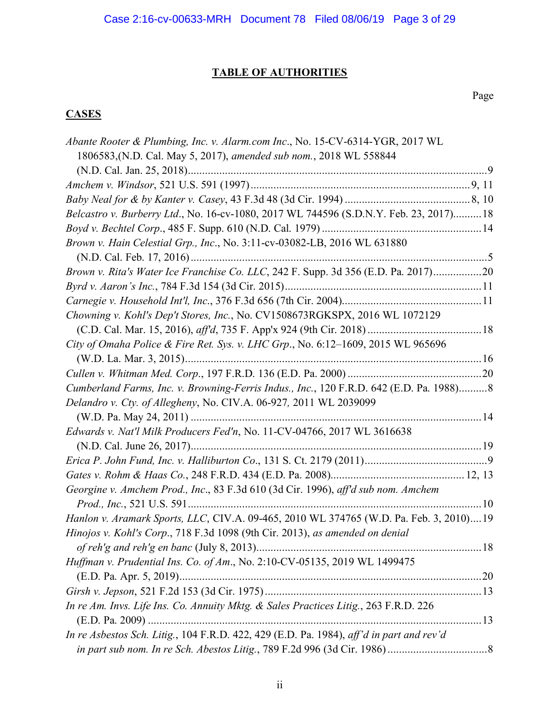# **TABLE OF AUTHORITIES**

## Page

## **CASES**

| Abante Rooter & Plumbing, Inc. v. Alarm.com Inc., No. 15-CV-6314-YGR, 2017 WL            |  |
|------------------------------------------------------------------------------------------|--|
| 1806583, (N.D. Cal. May 5, 2017), amended sub nom., 2018 WL 558844                       |  |
|                                                                                          |  |
|                                                                                          |  |
|                                                                                          |  |
| Belcastro v. Burberry Ltd., No. 16-cv-1080, 2017 WL 744596 (S.D.N.Y. Feb. 23, 2017) 18   |  |
|                                                                                          |  |
| Brown v. Hain Celestial Grp., Inc., No. 3:11-cv-03082-LB, 2016 WL 631880                 |  |
|                                                                                          |  |
| Brown v. Rita's Water Ice Franchise Co. LLC, 242 F. Supp. 3d 356 (E.D. Pa. 2017)20       |  |
|                                                                                          |  |
|                                                                                          |  |
| Chowning v. Kohl's Dep't Stores, Inc., No. CV1508673RGKSPX, 2016 WL 1072129              |  |
|                                                                                          |  |
| City of Omaha Police & Fire Ret. Sys. v. LHC Grp., No. 6:12-1609, 2015 WL 965696         |  |
|                                                                                          |  |
|                                                                                          |  |
| Cumberland Farms, Inc. v. Browning-Ferris Indus., Inc., 120 F.R.D. 642 (E.D. Pa. 1988)8  |  |
| Delandro v. Cty. of Allegheny, No. CIV.A. 06-927, 2011 WL 2039099                        |  |
|                                                                                          |  |
| Edwards v. Nat'l Milk Producers Fed'n, No. 11-CV-04766, 2017 WL 3616638                  |  |
|                                                                                          |  |
|                                                                                          |  |
|                                                                                          |  |
| Georgine v. Amchem Prod., Inc., 83 F.3d 610 (3d Cir. 1996), aff'd sub nom. Amchem        |  |
|                                                                                          |  |
| Hanlon v. Aramark Sports, LLC, CIV.A. 09-465, 2010 WL 374765 (W.D. Pa. Feb. 3, 2010) 19  |  |
| Hinojos v. Kohl's Corp., 718 F.3d 1098 (9th Cir. 2013), as amended on denial             |  |
|                                                                                          |  |
| Huffman v. Prudential Ins. Co. of Am., No. 2:10-CV-05135, 2019 WL 1499475                |  |
|                                                                                          |  |
|                                                                                          |  |
| In re Am. Invs. Life Ins. Co. Annuity Mktg. & Sales Practices Litig., 263 F.R.D. 226     |  |
|                                                                                          |  |
| In re Asbestos Sch. Litig., 104 F.R.D. 422, 429 (E.D. Pa. 1984), aff'd in part and rev'd |  |
|                                                                                          |  |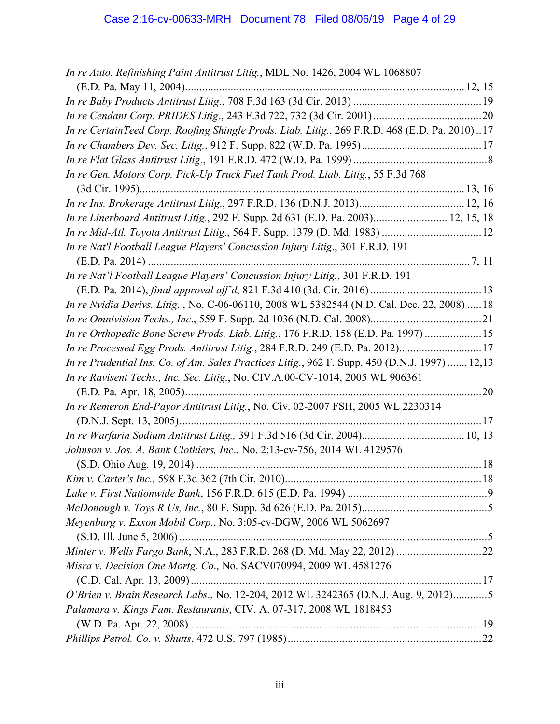| In re Auto. Refinishing Paint Antitrust Litig., MDL No. 1426, 2004 WL 1068807                  |  |
|------------------------------------------------------------------------------------------------|--|
|                                                                                                |  |
|                                                                                                |  |
|                                                                                                |  |
| In re CertainTeed Corp. Roofing Shingle Prods. Liab. Litig., 269 F.R.D. 468 (E.D. Pa. 2010)17  |  |
|                                                                                                |  |
|                                                                                                |  |
| In re Gen. Motors Corp. Pick-Up Truck Fuel Tank Prod. Liab. Litig., 55 F.3d 768                |  |
|                                                                                                |  |
|                                                                                                |  |
| In re Linerboard Antitrust Litig., 292 F. Supp. 2d 631 (E.D. Pa. 2003) 12, 15, 18              |  |
|                                                                                                |  |
| In re Nat'l Football League Players' Concussion Injury Litig., 301 F.R.D. 191                  |  |
|                                                                                                |  |
| In re Nat'l Football League Players' Concussion Injury Litig., 301 F.R.D. 191                  |  |
|                                                                                                |  |
| In re Nvidia Derivs. Litig., No. C-06-06110, 2008 WL 5382544 (N.D. Cal. Dec. 22, 2008)  18     |  |
|                                                                                                |  |
| In re Orthopedic Bone Screw Prods. Liab. Litig., 176 F.R.D. 158 (E.D. Pa. 1997)  15            |  |
| In re Processed Egg Prods. Antitrust Litig., 284 F.R.D. 249 (E.D. Pa. 2012)17                  |  |
| In re Prudential Ins. Co. of Am. Sales Practices Litig., 962 F. Supp. 450 (D.N.J. 1997)  12,13 |  |
| In re Ravisent Techs., Inc. Sec. Litig., No. CIV.A.00-CV-1014, 2005 WL 906361                  |  |
|                                                                                                |  |
| In re Remeron End-Payor Antitrust Litig., No. Civ. 02-2007 FSH, 2005 WL 2230314                |  |
|                                                                                                |  |
|                                                                                                |  |
| Johnson v. Jos. A. Bank Clothiers, Inc., No. 2:13-cv-756, 2014 WL 4129576                      |  |
|                                                                                                |  |
|                                                                                                |  |
|                                                                                                |  |
|                                                                                                |  |
| Meyenburg v. Exxon Mobil Corp., No. 3:05-cv-DGW, 2006 WL 5062697                               |  |
|                                                                                                |  |
|                                                                                                |  |
| Misra v. Decision One Mortg. Co., No. SACV070994, 2009 WL 4581276                              |  |
|                                                                                                |  |
| O'Brien v. Brain Research Labs., No. 12-204, 2012 WL 3242365 (D.N.J. Aug. 9, 2012)5            |  |
| Palamara v. Kings Fam. Restaurants, CIV. A. 07-317, 2008 WL 1818453                            |  |
|                                                                                                |  |
|                                                                                                |  |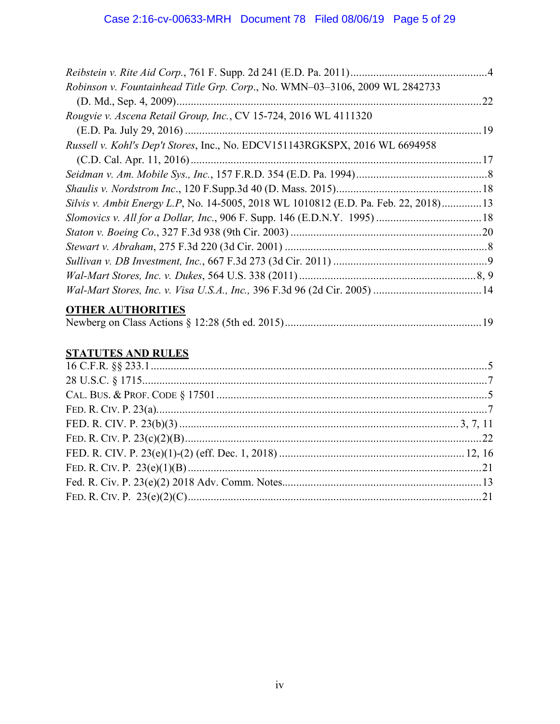| Robinson v. Fountainhead Title Grp. Corp., No. WMN-03-3106, 2009 WL 2842733         |    |
|-------------------------------------------------------------------------------------|----|
|                                                                                     | 22 |
| Rougvie v. Ascena Retail Group, Inc., CV 15-724, 2016 WL 4111320                    |    |
|                                                                                     |    |
| Russell v. Kohl's Dep't Stores, Inc., No. EDCV151143RGKSPX, 2016 WL 6694958         |    |
|                                                                                     |    |
|                                                                                     |    |
|                                                                                     |    |
| Silvis v. Ambit Energy L.P, No. 14-5005, 2018 WL 1010812 (E.D. Pa. Feb. 22, 2018)13 |    |
|                                                                                     |    |
|                                                                                     |    |
|                                                                                     |    |
|                                                                                     |    |
|                                                                                     |    |
|                                                                                     |    |
|                                                                                     |    |

# **OTHER AUTHORITIES**

|--|--|--|--|

# **STATUTES AND RULES**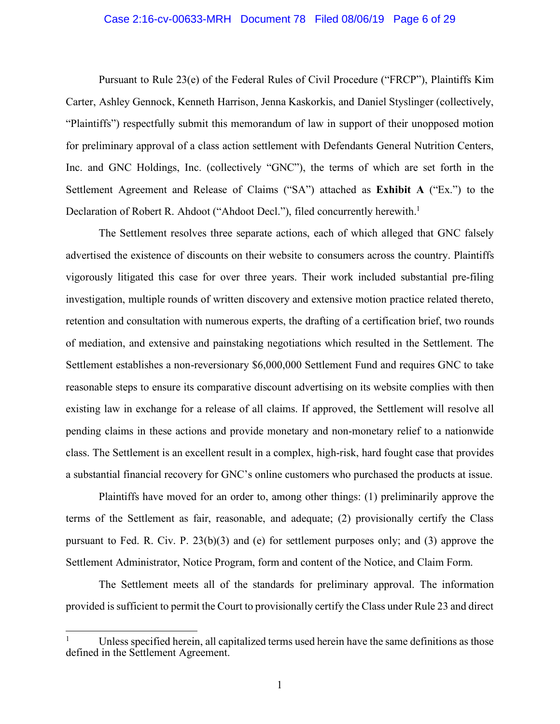#### Case 2:16-cv-00633-MRH Document 78 Filed 08/06/19 Page 6 of 29

Pursuant to Rule 23(e) of the Federal Rules of Civil Procedure ("FRCP"), Plaintiffs Kim Carter, Ashley Gennock, Kenneth Harrison, Jenna Kaskorkis, and Daniel Styslinger (collectively, "Plaintiffs") respectfully submit this memorandum of law in support of their unopposed motion for preliminary approval of a class action settlement with Defendants General Nutrition Centers, Inc. and GNC Holdings, Inc. (collectively "GNC"), the terms of which are set forth in the Settlement Agreement and Release of Claims ("SA") attached as **Exhibit A** ("Ex.") to the Declaration of Robert R. Ahdoot ("Ahdoot Decl."), filed concurrently herewith.<sup>1</sup>

The Settlement resolves three separate actions, each of which alleged that GNC falsely advertised the existence of discounts on their website to consumers across the country. Plaintiffs vigorously litigated this case for over three years. Their work included substantial pre-filing investigation, multiple rounds of written discovery and extensive motion practice related thereto, retention and consultation with numerous experts, the drafting of a certification brief, two rounds of mediation, and extensive and painstaking negotiations which resulted in the Settlement. The Settlement establishes a non-reversionary \$6,000,000 Settlement Fund and requires GNC to take reasonable steps to ensure its comparative discount advertising on its website complies with then existing law in exchange for a release of all claims. If approved, the Settlement will resolve all pending claims in these actions and provide monetary and non-monetary relief to a nationwide class. The Settlement is an excellent result in a complex, high-risk, hard fought case that provides a substantial financial recovery for GNC's online customers who purchased the products at issue.

Plaintiffs have moved for an order to, among other things: (1) preliminarily approve the terms of the Settlement as fair, reasonable, and adequate; (2) provisionally certify the Class pursuant to Fed. R. Civ. P. 23(b)(3) and (e) for settlement purposes only; and (3) approve the Settlement Administrator, Notice Program, form and content of the Notice, and Claim Form.

The Settlement meets all of the standards for preliminary approval. The information provided is sufficient to permit the Court to provisionally certify the Class under Rule 23 and direct

Unless specified herein, all capitalized terms used herein have the same definitions as those defined in the Settlement Agreement.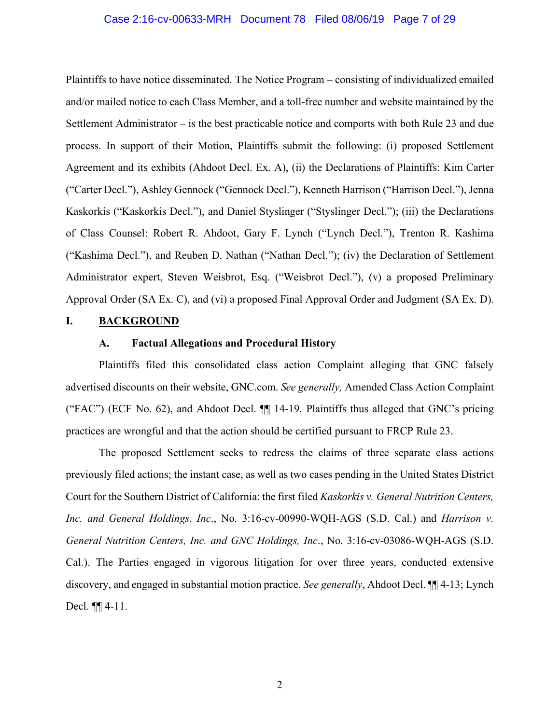#### Case 2:16-cv-00633-MRH Document 78 Filed 08/06/19 Page 7 of 29

Plaintiffs to have notice disseminated. The Notice Program – consisting of individualized emailed and/or mailed notice to each Class Member, and a toll-free number and website maintained by the Settlement Administrator – is the best practicable notice and comports with both Rule 23 and due process. In support of their Motion, Plaintiffs submit the following: (i) proposed Settlement Agreement and its exhibits (Ahdoot Decl. Ex. A), (ii) the Declarations of Plaintiffs: Kim Carter ("Carter Decl."), Ashley Gennock ("Gennock Decl."), Kenneth Harrison ("Harrison Decl."), Jenna Kaskorkis ("Kaskorkis Decl."), and Daniel Styslinger ("Styslinger Decl."); (iii) the Declarations of Class Counsel: Robert R. Ahdoot, Gary F. Lynch ("Lynch Decl."), Trenton R. Kashima ("Kashima Decl."), and Reuben D. Nathan ("Nathan Decl."); (iv) the Declaration of Settlement Administrator expert, Steven Weisbrot, Esq. ("Weisbrot Decl."), (v) a proposed Preliminary Approval Order (SA Ex. C), and (vi) a proposed Final Approval Order and Judgment (SA Ex. D).

#### **I. BACKGROUND**

#### **A. Factual Allegations and Procedural History**

Plaintiffs filed this consolidated class action Complaint alleging that GNC falsely advertised discounts on their website, GNC.com. *See generally,* Amended Class Action Complaint ("FAC") (ECF No. 62), and Ahdoot Decl. ¶¶ 14-19. Plaintiffs thus alleged that GNC's pricing practices are wrongful and that the action should be certified pursuant to FRCP Rule 23.

The proposed Settlement seeks to redress the claims of three separate class actions previously filed actions; the instant case, as well as two cases pending in the United States District Court for the Southern District of California: the first filed *Kaskorkis v. General Nutrition Centers, Inc. and General Holdings, Inc*., No. 3:16-cv-00990-WQH-AGS (S.D. Cal.) and *Harrison v. General Nutrition Centers, Inc. and GNC Holdings, Inc*., No. 3:16-cv-03086-WQH-AGS (S.D. Cal.). The Parties engaged in vigorous litigation for over three years, conducted extensive discovery, and engaged in substantial motion practice. *See generally*, Ahdoot Decl. ¶¶ 4-13; Lynch Decl. ¶¶ 4-11.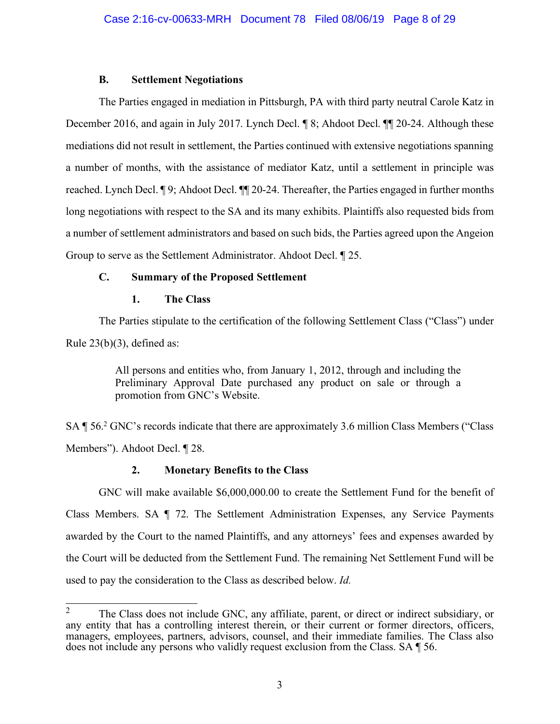## **B. Settlement Negotiations**

The Parties engaged in mediation in Pittsburgh, PA with third party neutral Carole Katz in December 2016, and again in July 2017. Lynch Decl. ¶ 8; Ahdoot Decl. ¶ [ 20-24. Although these mediations did not result in settlement, the Parties continued with extensive negotiations spanning a number of months, with the assistance of mediator Katz, until a settlement in principle was reached. Lynch Decl. ¶ 9; Ahdoot Decl. ¶¶ 20-24. Thereafter, the Parties engaged in further months long negotiations with respect to the SA and its many exhibits. Plaintiffs also requested bids from a number of settlement administrators and based on such bids, the Parties agreed upon the Angeion Group to serve as the Settlement Administrator. Ahdoot Decl. ¶ 25.

## **C. Summary of the Proposed Settlement**

## **1. The Class**

The Parties stipulate to the certification of the following Settlement Class ("Class") under Rule  $23(b)(3)$ , defined as:

> All persons and entities who, from January 1, 2012, through and including the Preliminary Approval Date purchased any product on sale or through a promotion from GNC's Website.

SA ¶ 56.2 GNC's records indicate that there are approximately 3.6 million Class Members ("Class Members"). Ahdoot Decl. ¶ 28.

## **2. Monetary Benefits to the Class**

GNC will make available \$6,000,000.00 to create the Settlement Fund for the benefit of Class Members. SA ¶ 72. The Settlement Administration Expenses, any Service Payments awarded by the Court to the named Plaintiffs, and any attorneys' fees and expenses awarded by the Court will be deducted from the Settlement Fund. The remaining Net Settlement Fund will be used to pay the consideration to the Class as described below. *Id.* 

<sup>&</sup>lt;sup>2</sup> The Class does not include GNC, any affiliate, parent, or direct or indirect subsidiary, or any entity that has a controlling interest therein, or their current or former directors, officers, managers, employees, partners, advisors, counsel, and their immediate families. The Class also does not include any persons who validly request exclusion from the Class. SA ¶ 56.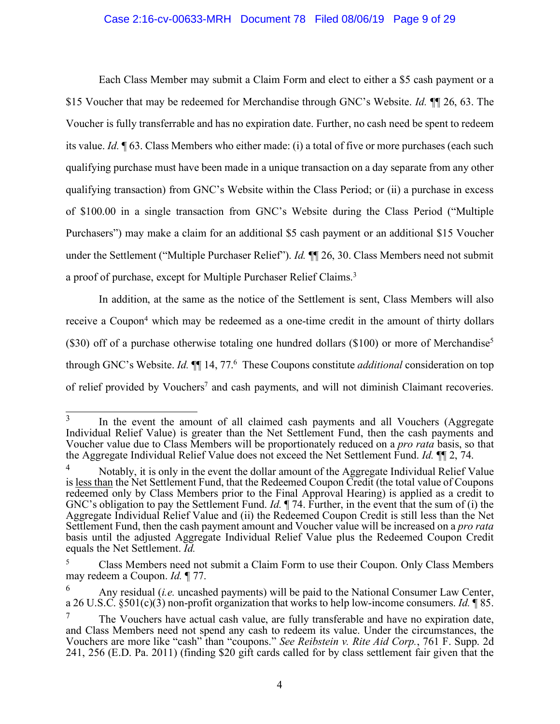#### Case 2:16-cv-00633-MRH Document 78 Filed 08/06/19 Page 9 of 29

Each Class Member may submit a Claim Form and elect to either a \$5 cash payment or a \$15 Voucher that may be redeemed for Merchandise through GNC's Website. *Id.* ¶¶ 26, 63. The Voucher is fully transferrable and has no expiration date. Further, no cash need be spent to redeem its value. *Id.* ¶ 63. Class Members who either made: (i) a total of five or more purchases (each such qualifying purchase must have been made in a unique transaction on a day separate from any other qualifying transaction) from GNC's Website within the Class Period; or (ii) a purchase in excess of \$100.00 in a single transaction from GNC's Website during the Class Period ("Multiple Purchasers") may make a claim for an additional \$5 cash payment or an additional \$15 Voucher under the Settlement ("Multiple Purchaser Relief"). *Id.* ¶¶ 26, 30. Class Members need not submit a proof of purchase, except for Multiple Purchaser Relief Claims.<sup>3</sup>

In addition, at the same as the notice of the Settlement is sent, Class Members will also receive a Coupon<sup>4</sup> which may be redeemed as a one-time credit in the amount of thirty dollars (\$30) off of a purchase otherwise totaling one hundred dollars (\$100) or more of Merchandise<sup>5</sup> through GNC's Website. *Id.* ¶¶ 14, 77. <sup>6</sup> These Coupons constitute *additional* consideration on top of relief provided by Vouchers<sup>7</sup> and cash payments, and will not diminish Claimant recoveries.

<sup>&</sup>lt;sup>3</sup> In the event the amount of all claimed cash payments and all Vouchers (Aggregate Individual Relief Value) is greater than the Net Settlement Fund, then the cash payments and Voucher value due to Class Members will be proportionately reduced on a *pro rata* basis, so that the Aggregate Individual Relief Value does not exceed the Net Settlement Fund. *Id.* ¶¶ 2, 74.

<sup>&</sup>lt;sup>4</sup> Notably, it is only in the event the dollar amount of the Aggregate Individual Relief Value is less than the Net Settlement Fund, that the Redeemed Coupon Credit (the total value of Coupons redeemed only by Class Members prior to the Final Approval Hearing) is applied as a credit to GNC's obligation to pay the Settlement Fund. *Id.* ¶ 74. Further, in the event that the sum of (i) the Aggregate Individual Relief Value and (ii) the Redeemed Coupon Credit is still less than the Net Settlement Fund, then the cash payment amount and Voucher value will be increased on a *pro rata* basis until the adjusted Aggregate Individual Relief Value plus the Redeemed Coupon Credit equals the Net Settlement. *Id.*

<sup>5</sup> Class Members need not submit a Claim Form to use their Coupon. Only Class Members may redeem a Coupon. *Id.* ¶ 77.

<sup>6</sup> Any residual (*i.e.* uncashed payments) will be paid to the National Consumer Law Center, a 26 U.S.C. §501(c)(3) non-profit organization that works to help low-income consumers. *Id.* ¶ 85.

<sup>&</sup>lt;sup>7</sup> The Vouchers have actual cash value, are fully transferable and have no expiration date, and Class Members need not spend any cash to redeem its value. Under the circumstances, the Vouchers are more like "cash" than "coupons." *See Reibstein v. Rite Aid Corp.*, 761 F. Supp. 2d 241, 256 (E.D. Pa. 2011) (finding \$20 gift cards called for by class settlement fair given that the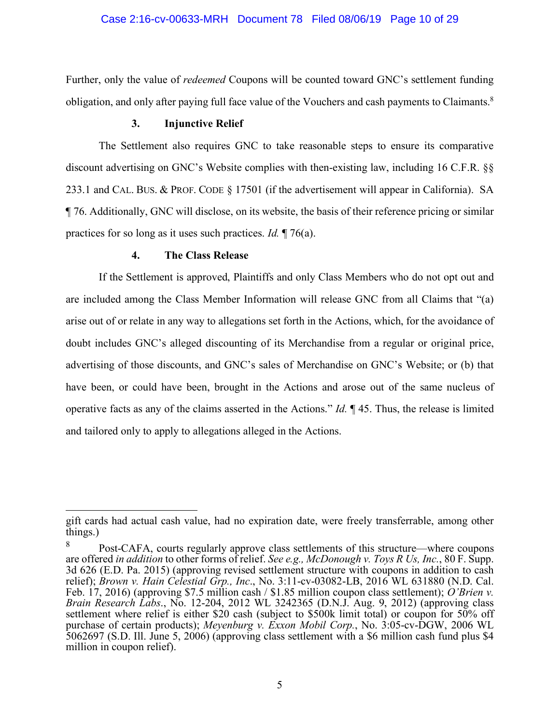Further, only the value of *redeemed* Coupons will be counted toward GNC's settlement funding obligation, and only after paying full face value of the Vouchers and cash payments to Claimants.8

### **3. Injunctive Relief**

The Settlement also requires GNC to take reasonable steps to ensure its comparative discount advertising on GNC's Website complies with then-existing law, including 16 C.F.R. §§ 233.1 and CAL. BUS. & PROF. CODE § 17501 (if the advertisement will appear in California). SA ¶ 76. Additionally, GNC will disclose, on its website, the basis of their reference pricing or similar practices for so long as it uses such practices. *Id.* ¶ 76(a).

### **4. The Class Release**

If the Settlement is approved, Plaintiffs and only Class Members who do not opt out and are included among the Class Member Information will release GNC from all Claims that "(a) arise out of or relate in any way to allegations set forth in the Actions, which, for the avoidance of doubt includes GNC's alleged discounting of its Merchandise from a regular or original price, advertising of those discounts, and GNC's sales of Merchandise on GNC's Website; or (b) that have been, or could have been, brought in the Actions and arose out of the same nucleus of operative facts as any of the claims asserted in the Actions." *Id.* ¶ 45. Thus, the release is limited and tailored only to apply to allegations alleged in the Actions.

 $\overline{a}$ gift cards had actual cash value, had no expiration date, were freely transferrable, among other things.)

<sup>8</sup> Post-CAFA, courts regularly approve class settlements of this structure—where coupons are offered *in addition* to other forms of relief. *See e.g., McDonough v. Toys R Us, Inc.*, 80 F. Supp. 3d 626 (E.D. Pa. 2015) (approving revised settlement structure with coupons in addition to cash relief); *Brown v. Hain Celestial Grp., Inc*., No. 3:11-cv-03082-LB, 2016 WL 631880 (N.D. Cal. Feb. 17, 2016) (approving \$7.5 million cash / \$1.85 million coupon class settlement); *O'Brien v. Brain Research Labs*., No. 12-204, 2012 WL 3242365 (D.N.J. Aug. 9, 2012) (approving class settlement where relief is either \$20 cash (subject to \$500k limit total) or coupon for 50% off purchase of certain products); *Meyenburg v. Exxon Mobil Corp.*, No. 3:05-cv-DGW, 2006 WL 5062697 (S.D. Ill. June 5, 2006) (approving class settlement with a \$6 million cash fund plus \$4 million in coupon relief).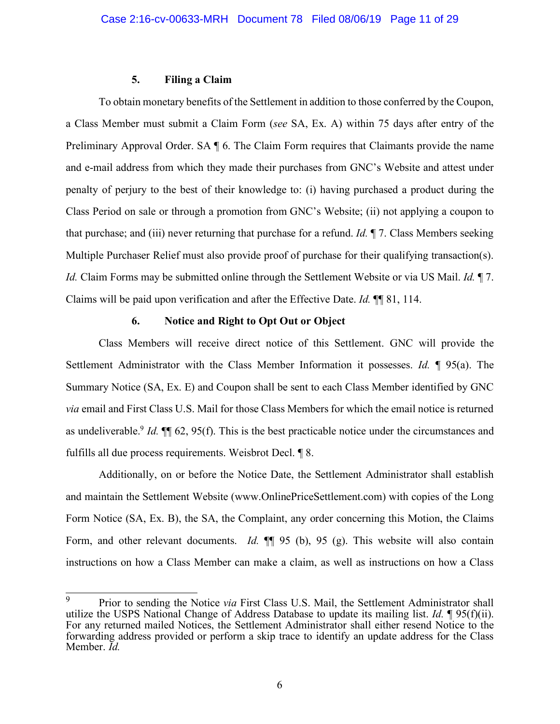#### **5. Filing a Claim**

To obtain monetary benefits of the Settlement in addition to those conferred by the Coupon, a Class Member must submit a Claim Form (*see* SA, Ex. A) within 75 days after entry of the Preliminary Approval Order. SA ¶ 6. The Claim Form requires that Claimants provide the name and e-mail address from which they made their purchases from GNC's Website and attest under penalty of perjury to the best of their knowledge to: (i) having purchased a product during the Class Period on sale or through a promotion from GNC's Website; (ii) not applying a coupon to that purchase; and (iii) never returning that purchase for a refund. *Id.* ¶ 7. Class Members seeking Multiple Purchaser Relief must also provide proof of purchase for their qualifying transaction(s). *Id.* Claim Forms may be submitted online through the Settlement Website or via US Mail. *Id.* ¶ 7. Claims will be paid upon verification and after the Effective Date. *Id.* ¶¶ 81, 114.

### **6. Notice and Right to Opt Out or Object**

Class Members will receive direct notice of this Settlement. GNC will provide the Settlement Administrator with the Class Member Information it possesses. *Id.* ¶ 95(a). The Summary Notice (SA, Ex. E) and Coupon shall be sent to each Class Member identified by GNC *via* email and First Class U.S. Mail for those Class Members for which the email notice is returned as undeliverable. <sup>9</sup> *Id.* ¶¶ 62, 95(f). This is the best practicable notice under the circumstances and fulfills all due process requirements. Weisbrot Decl. ¶ 8.

Additionally, on or before the Notice Date, the Settlement Administrator shall establish and maintain the Settlement Website (www.OnlinePriceSettlement.com) with copies of the Long Form Notice (SA, Ex. B), the SA, the Complaint, any order concerning this Motion, the Claims Form, and other relevant documents. *Id.*  $\P$  95 (b), 95 (g). This website will also contain instructions on how a Class Member can make a claim, as well as instructions on how a Class

 <sup>9</sup> Prior to sending the Notice *via* First Class U.S. Mail, the Settlement Administrator shall utilize the USPS National Change of Address Database to update its mailing list. *Id.* ¶ 95(f)(ii). For any returned mailed Notices, the Settlement Administrator shall either resend Notice to the forwarding address provided or perform a skip trace to identify an update address for the Class Member. *Id.*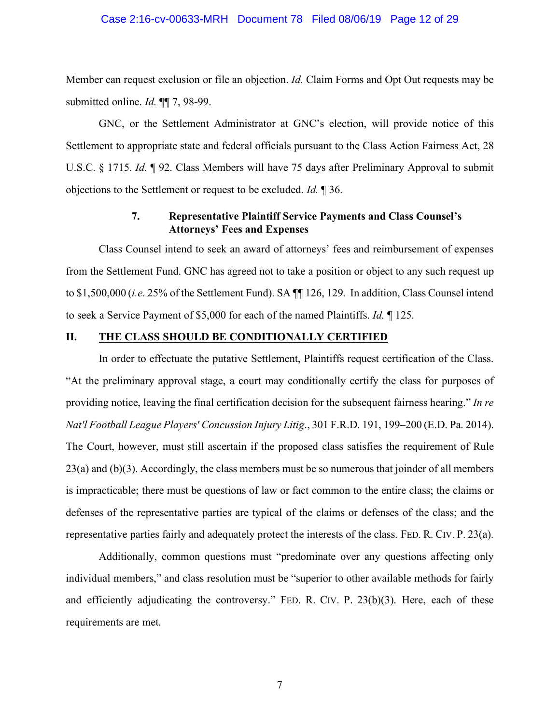#### Case 2:16-cv-00633-MRH Document 78 Filed 08/06/19 Page 12 of 29

Member can request exclusion or file an objection. *Id.* Claim Forms and Opt Out requests may be submitted online. *Id.* ¶¶ 7, 98-99.

GNC, or the Settlement Administrator at GNC's election, will provide notice of this Settlement to appropriate state and federal officials pursuant to the Class Action Fairness Act, 28 U.S.C. § 1715. *Id.* ¶ 92. Class Members will have 75 days after Preliminary Approval to submit objections to the Settlement or request to be excluded. *Id.* ¶ 36.

## **7. Representative Plaintiff Service Payments and Class Counsel's Attorneys' Fees and Expenses**

Class Counsel intend to seek an award of attorneys' fees and reimbursement of expenses from the Settlement Fund. GNC has agreed not to take a position or object to any such request up to \$1,500,000 (*i.e*. 25% of the Settlement Fund). SA ¶¶ 126, 129. In addition, Class Counsel intend to seek a Service Payment of \$5,000 for each of the named Plaintiffs. *Id.* ¶ 125.

### **II. THE CLASS SHOULD BE CONDITIONALLY CERTIFIED**

In order to effectuate the putative Settlement, Plaintiffs request certification of the Class. "At the preliminary approval stage, a court may conditionally certify the class for purposes of providing notice, leaving the final certification decision for the subsequent fairness hearing." *In re Nat'l Football League Players' Concussion Injury Litig*., 301 F.R.D. 191, 199–200 (E.D. Pa. 2014). The Court, however, must still ascertain if the proposed class satisfies the requirement of Rule  $23(a)$  and (b)(3). Accordingly, the class members must be so numerous that joinder of all members is impracticable; there must be questions of law or fact common to the entire class; the claims or defenses of the representative parties are typical of the claims or defenses of the class; and the representative parties fairly and adequately protect the interests of the class. FED. R. CIV. P. 23(a).

Additionally, common questions must "predominate over any questions affecting only individual members," and class resolution must be "superior to other available methods for fairly and efficiently adjudicating the controversy." FED. R. CIV. P. 23(b)(3). Here, each of these requirements are met.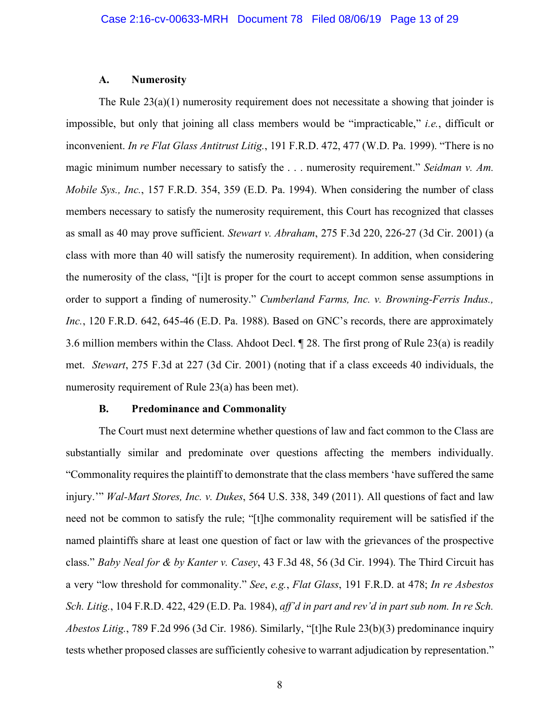#### **A. Numerosity**

The Rule 23(a)(1) numerosity requirement does not necessitate a showing that joinder is impossible, but only that joining all class members would be "impracticable," *i.e.*, difficult or inconvenient. *In re Flat Glass Antitrust Litig.*, 191 F.R.D. 472, 477 (W.D. Pa. 1999). "There is no magic minimum number necessary to satisfy the . . . numerosity requirement." *Seidman v. Am. Mobile Sys., Inc.*, 157 F.R.D. 354, 359 (E.D. Pa. 1994). When considering the number of class members necessary to satisfy the numerosity requirement, this Court has recognized that classes as small as 40 may prove sufficient. *Stewart v. Abraham*, 275 F.3d 220, 226-27 (3d Cir. 2001) (a class with more than 40 will satisfy the numerosity requirement). In addition, when considering the numerosity of the class, "[i]t is proper for the court to accept common sense assumptions in order to support a finding of numerosity." *Cumberland Farms, Inc. v. Browning-Ferris Indus.,*  Inc., 120 F.R.D. 642, 645-46 (E.D. Pa. 1988). Based on GNC's records, there are approximately 3.6 million members within the Class. Ahdoot Decl. ¶ 28. The first prong of Rule 23(a) is readily met. *Stewart*, 275 F.3d at 227 (3d Cir. 2001) (noting that if a class exceeds 40 individuals, the numerosity requirement of Rule 23(a) has been met).

### **B. Predominance and Commonality**

The Court must next determine whether questions of law and fact common to the Class are substantially similar and predominate over questions affecting the members individually. "Commonality requires the plaintiff to demonstrate that the class members 'have suffered the same injury.'" *Wal-Mart Stores, Inc. v. Dukes*, 564 U.S. 338, 349 (2011). All questions of fact and law need not be common to satisfy the rule; "[t]he commonality requirement will be satisfied if the named plaintiffs share at least one question of fact or law with the grievances of the prospective class." *Baby Neal for & by Kanter v. Casey*, 43 F.3d 48, 56 (3d Cir. 1994). The Third Circuit has a very "low threshold for commonality." *See*, *e.g.*, *Flat Glass*, 191 F.R.D. at 478; *In re Asbestos Sch. Litig.*, 104 F.R.D. 422, 429 (E.D. Pa. 1984), *aff'd in part and rev'd in part sub nom. In re Sch. Abestos Litig.*, 789 F.2d 996 (3d Cir. 1986). Similarly, "[t]he Rule 23(b)(3) predominance inquiry tests whether proposed classes are sufficiently cohesive to warrant adjudication by representation."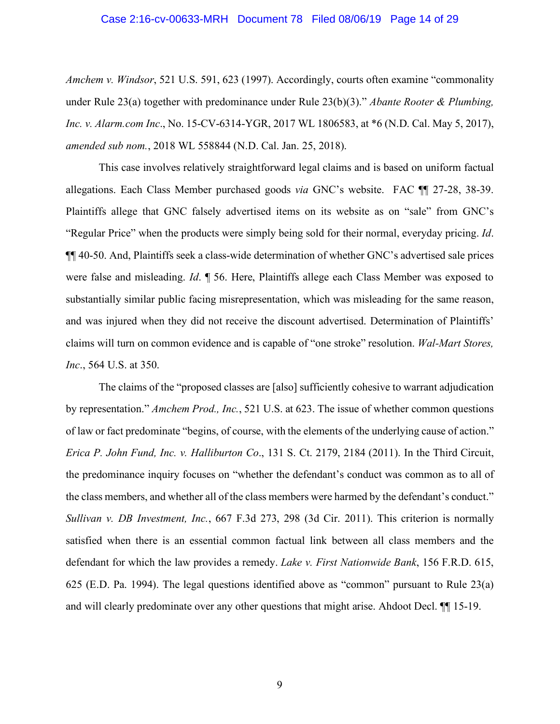#### Case 2:16-cv-00633-MRH Document 78 Filed 08/06/19 Page 14 of 29

*Amchem v. Windsor*, 521 U.S. 591, 623 (1997). Accordingly, courts often examine "commonality under Rule 23(a) together with predominance under Rule 23(b)(3)." *Abante Rooter & Plumbing, Inc. v. Alarm.com Inc*., No. 15-CV-6314-YGR, 2017 WL 1806583, at \*6 (N.D. Cal. May 5, 2017), *amended sub nom.*, 2018 WL 558844 (N.D. Cal. Jan. 25, 2018).

This case involves relatively straightforward legal claims and is based on uniform factual allegations. Each Class Member purchased goods *via* GNC's website. FAC ¶¶ 27-28, 38-39. Plaintiffs allege that GNC falsely advertised items on its website as on "sale" from GNC's "Regular Price" when the products were simply being sold for their normal, everyday pricing. *Id*. ¶¶ 40-50. And, Plaintiffs seek a class-wide determination of whether GNC's advertised sale prices were false and misleading. *Id*. ¶ 56. Here, Plaintiffs allege each Class Member was exposed to substantially similar public facing misrepresentation, which was misleading for the same reason, and was injured when they did not receive the discount advertised. Determination of Plaintiffs' claims will turn on common evidence and is capable of "one stroke" resolution. *Wal-Mart Stores, Inc*., 564 U.S. at 350.

The claims of the "proposed classes are [also] sufficiently cohesive to warrant adjudication by representation." *Amchem Prod., Inc.*, 521 U.S. at 623. The issue of whether common questions of law or fact predominate "begins, of course, with the elements of the underlying cause of action." *Erica P. John Fund, Inc. v. Halliburton Co*., 131 S. Ct. 2179, 2184 (2011). In the Third Circuit, the predominance inquiry focuses on "whether the defendant's conduct was common as to all of the class members, and whether all of the class members were harmed by the defendant's conduct." *Sullivan v. DB Investment, Inc.*, 667 F.3d 273, 298 (3d Cir. 2011). This criterion is normally satisfied when there is an essential common factual link between all class members and the defendant for which the law provides a remedy. *Lake v. First Nationwide Bank*, 156 F.R.D. 615, 625 (E.D. Pa. 1994). The legal questions identified above as "common" pursuant to Rule 23(a) and will clearly predominate over any other questions that might arise. Ahdoot Decl. ¶¶ 15-19.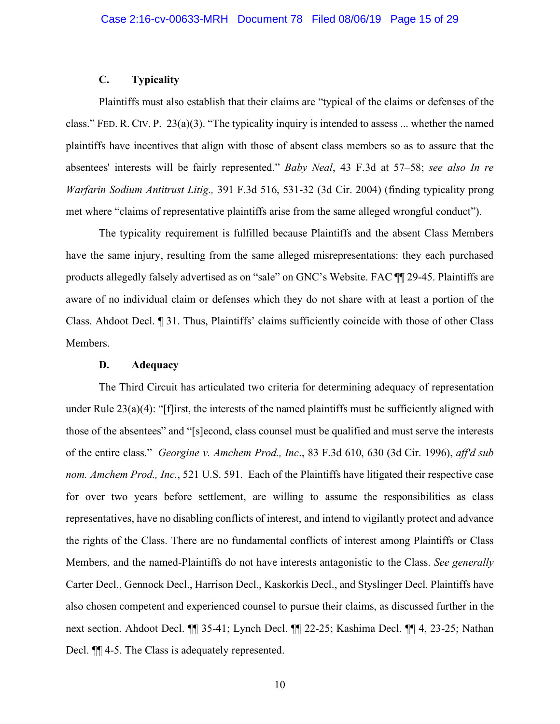#### **C. Typicality**

Plaintiffs must also establish that their claims are "typical of the claims or defenses of the class." FED. R. CIV. P. 23(a)(3). "The typicality inquiry is intended to assess ... whether the named plaintiffs have incentives that align with those of absent class members so as to assure that the absentees' interests will be fairly represented." *Baby Neal*, 43 F.3d at 57–58; *see also In re Warfarin Sodium Antitrust Litig.,* 391 F.3d 516, 531-32 (3d Cir. 2004) (finding typicality prong met where "claims of representative plaintiffs arise from the same alleged wrongful conduct").

The typicality requirement is fulfilled because Plaintiffs and the absent Class Members have the same injury, resulting from the same alleged misrepresentations: they each purchased products allegedly falsely advertised as on "sale" on GNC's Website. FAC ¶¶ 29-45. Plaintiffs are aware of no individual claim or defenses which they do not share with at least a portion of the Class. Ahdoot Decl. ¶ 31. Thus, Plaintiffs' claims sufficiently coincide with those of other Class Members.

#### **D. Adequacy**

The Third Circuit has articulated two criteria for determining adequacy of representation under Rule  $23(a)(4)$ : "[f]irst, the interests of the named plaintiffs must be sufficiently aligned with those of the absentees" and "[s]econd, class counsel must be qualified and must serve the interests of the entire class." *Georgine v. Amchem Prod., Inc*., 83 F.3d 610, 630 (3d Cir. 1996), *aff'd sub nom. Amchem Prod., Inc.*, 521 U.S. 591. Each of the Plaintiffs have litigated their respective case for over two years before settlement, are willing to assume the responsibilities as class representatives, have no disabling conflicts of interest, and intend to vigilantly protect and advance the rights of the Class. There are no fundamental conflicts of interest among Plaintiffs or Class Members, and the named-Plaintiffs do not have interests antagonistic to the Class. *See generally* Carter Decl., Gennock Decl., Harrison Decl., Kaskorkis Decl., and Styslinger Decl. Plaintiffs have also chosen competent and experienced counsel to pursue their claims, as discussed further in the next section. Ahdoot Decl. ¶¶ 35-41; Lynch Decl. ¶¶ 22-25; Kashima Decl. ¶¶ 4, 23-25; Nathan Decl.  $\P$  4-5. The Class is adequately represented.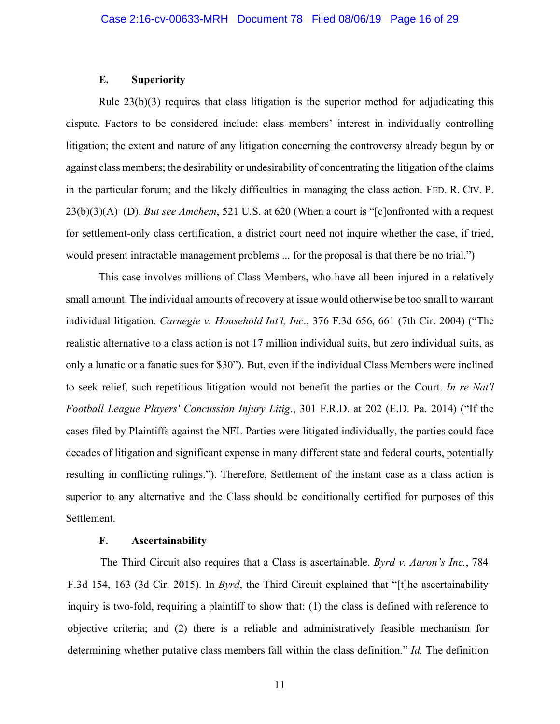#### **E. Superiority**

Rule  $23(b)(3)$  requires that class litigation is the superior method for adjudicating this dispute. Factors to be considered include: class members' interest in individually controlling litigation; the extent and nature of any litigation concerning the controversy already begun by or against class members; the desirability or undesirability of concentrating the litigation of the claims in the particular forum; and the likely difficulties in managing the class action. FED. R. CIV. P. 23(b)(3)(A)–(D). *But see Amchem*, 521 U.S. at 620 (When a court is "[c]onfronted with a request for settlement-only class certification, a district court need not inquire whether the case, if tried, would present intractable management problems ... for the proposal is that there be no trial.")

This case involves millions of Class Members, who have all been injured in a relatively small amount. The individual amounts of recovery at issue would otherwise be too small to warrant individual litigation. *Carnegie v. Household Int'l, Inc*., 376 F.3d 656, 661 (7th Cir. 2004) ("The realistic alternative to a class action is not 17 million individual suits, but zero individual suits, as only a lunatic or a fanatic sues for \$30"). But, even if the individual Class Members were inclined to seek relief, such repetitious litigation would not benefit the parties or the Court. *In re Nat'l Football League Players' Concussion Injury Litig*., 301 F.R.D. at 202 (E.D. Pa. 2014) ("If the cases filed by Plaintiffs against the NFL Parties were litigated individually, the parties could face decades of litigation and significant expense in many different state and federal courts, potentially resulting in conflicting rulings."). Therefore, Settlement of the instant case as a class action is superior to any alternative and the Class should be conditionally certified for purposes of this Settlement.

### **F. Ascertainability**

The Third Circuit also requires that a Class is ascertainable. *Byrd v. Aaron's Inc.*, 784 F.3d 154, 163 (3d Cir. 2015). In *Byrd*, the Third Circuit explained that "[t]he ascertainability inquiry is two-fold, requiring a plaintiff to show that: (1) the class is defined with reference to objective criteria; and (2) there is a reliable and administratively feasible mechanism for determining whether putative class members fall within the class definition." *Id.* The definition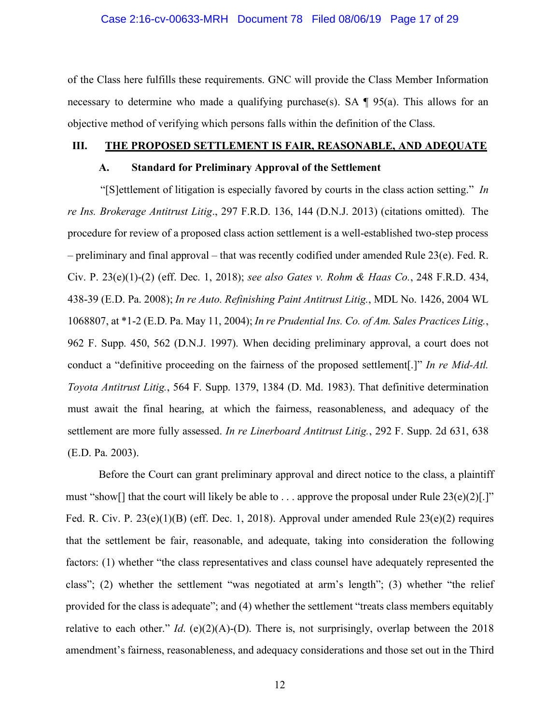#### Case 2:16-cv-00633-MRH Document 78 Filed 08/06/19 Page 17 of 29

of the Class here fulfills these requirements. GNC will provide the Class Member Information necessary to determine who made a qualifying purchase(s). SA  $\P$  95(a). This allows for an objective method of verifying which persons falls within the definition of the Class.

#### **III. THE PROPOSED SETTLEMENT IS FAIR, REASONABLE, AND ADEQUATE**

### **A. Standard for Preliminary Approval of the Settlement**

"[S]ettlement of litigation is especially favored by courts in the class action setting." *In re Ins. Brokerage Antitrust Litig*., 297 F.R.D. 136, 144 (D.N.J. 2013) (citations omitted). The procedure for review of a proposed class action settlement is a well-established two-step process – preliminary and final approval – that was recently codified under amended Rule 23(e). Fed. R. Civ. P. 23(e)(1)-(2) (eff. Dec. 1, 2018); *see also Gates v. Rohm & Haas Co.*, 248 F.R.D. 434, 438-39 (E.D. Pa. 2008); *In re Auto. Refinishing Paint Antitrust Litig.*, MDL No. 1426, 2004 WL 1068807, at \*1-2 (E.D. Pa. May 11, 2004); *In re Prudential Ins. Co. of Am. Sales Practices Litig.*, 962 F. Supp. 450, 562 (D.N.J. 1997). When deciding preliminary approval, a court does not conduct a "definitive proceeding on the fairness of the proposed settlement[.]" *In re Mid-Atl. Toyota Antitrust Litig.*, 564 F. Supp. 1379, 1384 (D. Md. 1983). That definitive determination must await the final hearing, at which the fairness, reasonableness, and adequacy of the settlement are more fully assessed. *In re Linerboard Antitrust Litig.*, 292 F. Supp. 2d 631, 638 (E.D. Pa. 2003).

Before the Court can grant preliminary approval and direct notice to the class, a plaintiff must "show[] that the court will likely be able to  $\ldots$  approve the proposal under Rule 23(e)(2)[.]" Fed. R. Civ. P. 23(e)(1)(B) (eff. Dec. 1, 2018). Approval under amended Rule 23(e)(2) requires that the settlement be fair, reasonable, and adequate, taking into consideration the following factors: (1) whether "the class representatives and class counsel have adequately represented the class"; (2) whether the settlement "was negotiated at arm's length"; (3) whether "the relief provided for the class is adequate"; and (4) whether the settlement "treats class members equitably relative to each other." *Id*. (e)(2)(A)-(D). There is, not surprisingly, overlap between the 2018 amendment's fairness, reasonableness, and adequacy considerations and those set out in the Third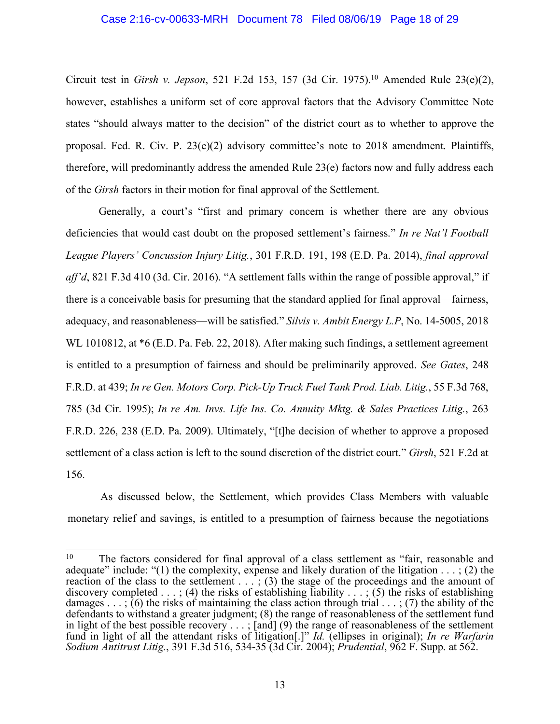#### Case 2:16-cv-00633-MRH Document 78 Filed 08/06/19 Page 18 of 29

Circuit test in *Girsh v. Jepson*, 521 F.2d 153, 157 (3d Cir. 1975). <sup>10</sup> Amended Rule 23(e)(2), however, establishes a uniform set of core approval factors that the Advisory Committee Note states "should always matter to the decision" of the district court as to whether to approve the proposal. Fed. R. Civ. P. 23(e)(2) advisory committee's note to 2018 amendment. Plaintiffs, therefore, will predominantly address the amended Rule 23(e) factors now and fully address each of the *Girsh* factors in their motion for final approval of the Settlement.

Generally, a court's "first and primary concern is whether there are any obvious deficiencies that would cast doubt on the proposed settlement's fairness." *In re Nat'l Football League Players' Concussion Injury Litig.*, 301 F.R.D. 191, 198 (E.D. Pa. 2014), *final approval aff'd*, 821 F.3d 410 (3d. Cir. 2016). "A settlement falls within the range of possible approval," if there is a conceivable basis for presuming that the standard applied for final approval—fairness, adequacy, and reasonableness—will be satisfied." *Silvis v. Ambit Energy L.P*, No. 14-5005, 2018 WL 1010812, at  $*6$  (E.D. Pa. Feb. 22, 2018). After making such findings, a settlement agreement is entitled to a presumption of fairness and should be preliminarily approved. *See Gates*, 248 F.R.D. at 439; *In re Gen. Motors Corp. Pick-Up Truck Fuel Tank Prod. Liab. Litig.*, 55 F.3d 768, 785 (3d Cir. 1995); *In re Am. Invs. Life Ins. Co. Annuity Mktg. & Sales Practices Litig.*, 263 F.R.D. 226, 238 (E.D. Pa. 2009). Ultimately, "[t]he decision of whether to approve a proposed settlement of a class action is left to the sound discretion of the district court." *Girsh*, 521 F.2d at 156.

As discussed below, the Settlement, which provides Class Members with valuable monetary relief and savings, is entitled to a presumption of fairness because the negotiations

<sup>&</sup>lt;sup>10</sup> The factors considered for final approval of a class settlement as "fair, reasonable and adequate" include: "(1) the complexity, expense and likely duration of the litigation  $\dots$ ; (2) the reaction of the class to the settlement . . . ; (3) the stage of the proceedings and the amount of discovery completed  $\dots$ ; (4) the risks of establishing liability  $\dots$ ; (5) the risks of establishing damages  $\dots$ : (6) the risks of maintaining the class action through trial  $\dots$ ; (7) the ability of the defendants to withstand a greater judgment; (8) the range of reasonableness of the settlement fund in light of the best possible recovery . . . ; [and] (9) the range of reasonableness of the settlement fund in light of all the attendant risks of litigation[.]" *Id.* (ellipses in original); *In re Warfarin Sodium Antitrust Litig.*, 391 F.3d 516, 534-35 (3d Cir. 2004); *Prudential*, 962 F. Supp. at 562.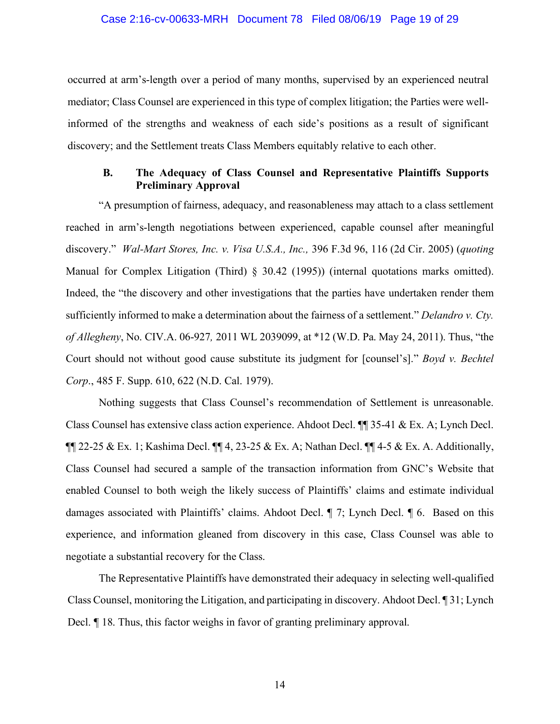#### Case 2:16-cv-00633-MRH Document 78 Filed 08/06/19 Page 19 of 29

occurred at arm's-length over a period of many months, supervised by an experienced neutral mediator; Class Counsel are experienced in this type of complex litigation; the Parties were wellinformed of the strengths and weakness of each side's positions as a result of significant discovery; and the Settlement treats Class Members equitably relative to each other.

## **B. The Adequacy of Class Counsel and Representative Plaintiffs Supports Preliminary Approval**

"A presumption of fairness, adequacy, and reasonableness may attach to a class settlement reached in arm's-length negotiations between experienced, capable counsel after meaningful discovery." *Wal-Mart Stores, Inc. v. Visa U.S.A., Inc.,* 396 F.3d 96, 116 (2d Cir. 2005) (*quoting* Manual for Complex Litigation (Third) § 30.42 (1995)) (internal quotations marks omitted). Indeed, the "the discovery and other investigations that the parties have undertaken render them sufficiently informed to make a determination about the fairness of a settlement." *Delandro v. Cty. of Allegheny*, No. CIV.A. 06-927*,* 2011 WL 2039099, at \*12 (W.D. Pa. May 24, 2011). Thus, "the Court should not without good cause substitute its judgment for [counsel's]." *Boyd v. Bechtel Corp*., 485 F. Supp. 610, 622 (N.D. Cal. 1979).

Nothing suggests that Class Counsel's recommendation of Settlement is unreasonable. Class Counsel has extensive class action experience. Ahdoot Decl. ¶¶ 35-41 & Ex. A; Lynch Decl.  $\P\P$  22-25 & Ex. 1; Kashima Decl.  $\P\P$  4, 23-25 & Ex. A; Nathan Decl.  $\P\P$  4-5 & Ex. A. Additionally, Class Counsel had secured a sample of the transaction information from GNC's Website that enabled Counsel to both weigh the likely success of Plaintiffs' claims and estimate individual damages associated with Plaintiffs' claims. Ahdoot Decl. ¶ 7; Lynch Decl. ¶ 6. Based on this experience, and information gleaned from discovery in this case, Class Counsel was able to negotiate a substantial recovery for the Class.

The Representative Plaintiffs have demonstrated their adequacy in selecting well-qualified Class Counsel, monitoring the Litigation, and participating in discovery. Ahdoot Decl. ¶ 31; Lynch Decl. ¶ 18. Thus, this factor weighs in favor of granting preliminary approval.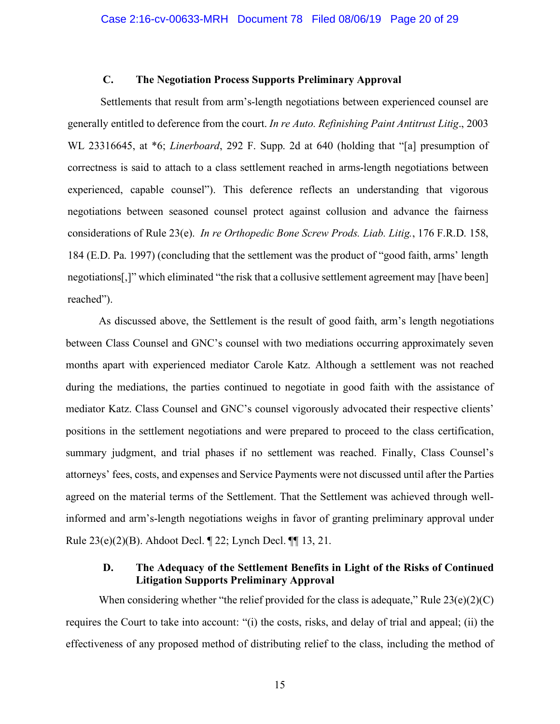#### **C. The Negotiation Process Supports Preliminary Approval**

Settlements that result from arm's-length negotiations between experienced counsel are generally entitled to deference from the court. *In re Auto. Refinishing Paint Antitrust Litig*., 2003 WL 23316645, at \*6; *Linerboard*, 292 F. Supp. 2d at 640 (holding that "[a] presumption of correctness is said to attach to a class settlement reached in arms-length negotiations between experienced, capable counsel"). This deference reflects an understanding that vigorous negotiations between seasoned counsel protect against collusion and advance the fairness considerations of Rule 23(e). *In re Orthopedic Bone Screw Prods. Liab. Litig.*, 176 F.R.D. 158, 184 (E.D. Pa. 1997) (concluding that the settlement was the product of "good faith, arms' length negotiations[,]" which eliminated "the risk that a collusive settlement agreement may [have been] reached").

As discussed above, the Settlement is the result of good faith, arm's length negotiations between Class Counsel and GNC's counsel with two mediations occurring approximately seven months apart with experienced mediator Carole Katz. Although a settlement was not reached during the mediations, the parties continued to negotiate in good faith with the assistance of mediator Katz. Class Counsel and GNC's counsel vigorously advocated their respective clients' positions in the settlement negotiations and were prepared to proceed to the class certification, summary judgment, and trial phases if no settlement was reached. Finally, Class Counsel's attorneys' fees, costs, and expenses and Service Payments were not discussed until after the Parties agreed on the material terms of the Settlement. That the Settlement was achieved through wellinformed and arm's-length negotiations weighs in favor of granting preliminary approval under Rule 23(e)(2)(B). Ahdoot Decl. ¶ 22; Lynch Decl. ¶¶ 13, 21.

### **D. The Adequacy of the Settlement Benefits in Light of the Risks of Continued Litigation Supports Preliminary Approval**

When considering whether "the relief provided for the class is adequate," Rule  $23(e)(2)(C)$ requires the Court to take into account: "(i) the costs, risks, and delay of trial and appeal; (ii) the effectiveness of any proposed method of distributing relief to the class, including the method of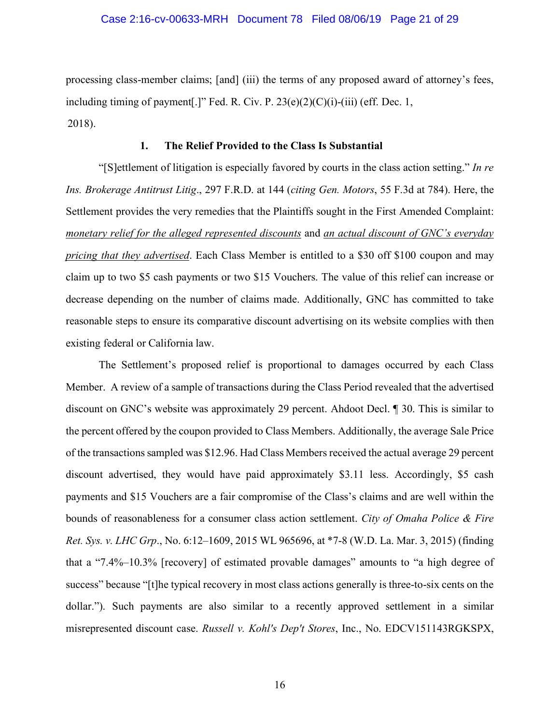#### Case 2:16-cv-00633-MRH Document 78 Filed 08/06/19 Page 21 of 29

processing class-member claims; [and] (iii) the terms of any proposed award of attorney's fees, including timing of payment[.]" Fed. R. Civ. P.  $23(e)(2)(C)(i)-(iii)$  (eff. Dec. 1, 2018).

### **1. The Relief Provided to the Class Is Substantial**

"[S]ettlement of litigation is especially favored by courts in the class action setting." *In re Ins. Brokerage Antitrust Litig*., 297 F.R.D. at 144 (*citing Gen. Motors*, 55 F.3d at 784). Here, the Settlement provides the very remedies that the Plaintiffs sought in the First Amended Complaint: *monetary relief for the alleged represented discounts* and *an actual discount of GNC's everyday pricing that they advertised*. Each Class Member is entitled to a \$30 off \$100 coupon and may claim up to two \$5 cash payments or two \$15 Vouchers. The value of this relief can increase or decrease depending on the number of claims made. Additionally, GNC has committed to take reasonable steps to ensure its comparative discount advertising on its website complies with then existing federal or California law.

The Settlement's proposed relief is proportional to damages occurred by each Class Member. A review of a sample of transactions during the Class Period revealed that the advertised discount on GNC's website was approximately 29 percent. Ahdoot Decl. ¶ 30. This is similar to the percent offered by the coupon provided to Class Members. Additionally, the average Sale Price of the transactions sampled was \$12.96. Had Class Members received the actual average 29 percent discount advertised, they would have paid approximately \$3.11 less. Accordingly, \$5 cash payments and \$15 Vouchers are a fair compromise of the Class's claims and are well within the bounds of reasonableness for a consumer class action settlement. *City of Omaha Police & Fire Ret. Sys. v. LHC Grp*., No. 6:12–1609, 2015 WL 965696, at \*7-8 (W.D. La. Mar. 3, 2015) (finding that a "7.4%–10.3% [recovery] of estimated provable damages" amounts to "a high degree of success" because "[t]he typical recovery in most class actions generally is three-to-six cents on the dollar."). Such payments are also similar to a recently approved settlement in a similar misrepresented discount case. *Russell v. Kohl's Dep't Stores*, Inc., No. EDCV151143RGKSPX,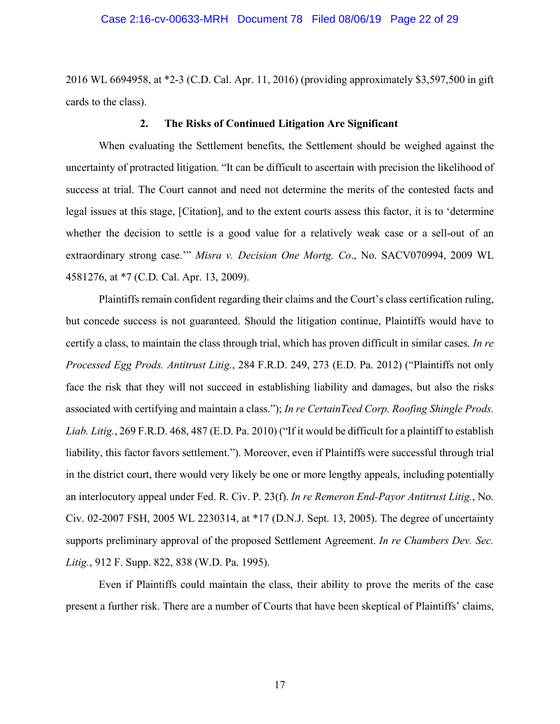#### Case 2:16-cv-00633-MRH Document 78 Filed 08/06/19 Page 22 of 29

2016 WL 6694958, at \*2-3 (C.D. Cal. Apr. 11, 2016) (providing approximately \$3,597,500 in gift cards to the class).

#### **2. The Risks of Continued Litigation Are Significant**

When evaluating the Settlement benefits, the Settlement should be weighed against the uncertainty of protracted litigation. "It can be difficult to ascertain with precision the likelihood of success at trial. The Court cannot and need not determine the merits of the contested facts and legal issues at this stage, [Citation], and to the extent courts assess this factor, it is to 'determine whether the decision to settle is a good value for a relatively weak case or a sell-out of an extraordinary strong case.'" *Misra v. Decision One Mortg. Co*., No. SACV070994, 2009 WL 4581276, at \*7 (C.D. Cal. Apr. 13, 2009).

Plaintiffs remain confident regarding their claims and the Court's class certification ruling, but concede success is not guaranteed. Should the litigation continue, Plaintiffs would have to certify a class, to maintain the class through trial, which has proven difficult in similar cases. *In re Processed Egg Prods. Antitrust Litig.*, 284 F.R.D. 249, 273 (E.D. Pa. 2012) ("Plaintiffs not only face the risk that they will not succeed in establishing liability and damages, but also the risks associated with certifying and maintain a class."); *In re CertainTeed Corp. Roofing Shingle Prods. Liab. Litig.*, 269 F.R.D. 468, 487 (E.D. Pa. 2010) ("If it would be difficult for a plaintiff to establish liability, this factor favors settlement."). Moreover, even if Plaintiffs were successful through trial in the district court, there would very likely be one or more lengthy appeals, including potentially an interlocutory appeal under Fed. R. Civ. P. 23(f). *In re Remeron End-Payor Antitrust Litig.*, No. Civ. 02-2007 FSH, 2005 WL 2230314, at \*17 (D.N.J. Sept. 13, 2005). The degree of uncertainty supports preliminary approval of the proposed Settlement Agreement. *In re Chambers Dev. Sec. Litig.*, 912 F. Supp. 822, 838 (W.D. Pa. 1995).

Even if Plaintiffs could maintain the class, their ability to prove the merits of the case present a further risk. There are a number of Courts that have been skeptical of Plaintiffs' claims,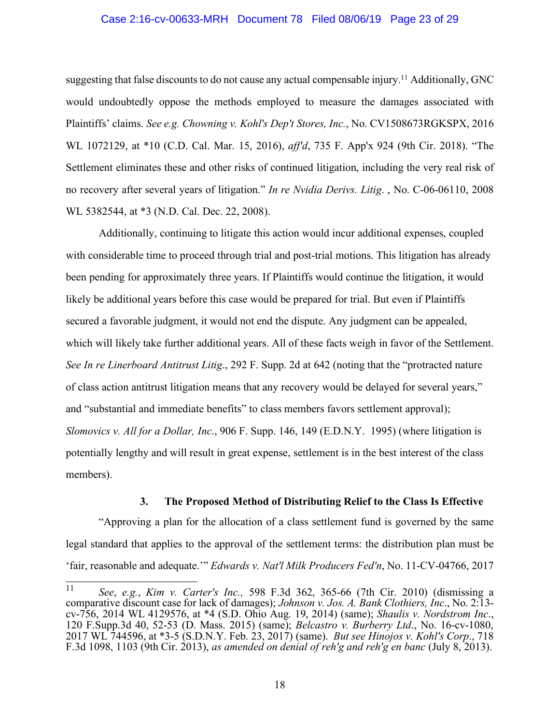#### Case 2:16-cv-00633-MRH Document 78 Filed 08/06/19 Page 23 of 29

suggesting that false discounts to do not cause any actual compensable injury.<sup>11</sup> Additionally, GNC would undoubtedly oppose the methods employed to measure the damages associated with Plaintiffs' claims. *See e.g. Chowning v. Kohl's Dep't Stores, Inc.*, No. CV1508673RGKSPX, 2016 WL 1072129, at \*10 (C.D. Cal. Mar. 15, 2016), *aff'd*, 735 F. App'x 924 (9th Cir. 2018). "The Settlement eliminates these and other risks of continued litigation, including the very real risk of no recovery after several years of litigation." *In re Nvidia Derivs. Litig*. , No. C-06-06110, 2008 WL 5382544, at \*3 (N.D. Cal. Dec. 22, 2008).

Additionally, continuing to litigate this action would incur additional expenses, coupled with considerable time to proceed through trial and post-trial motions. This litigation has already been pending for approximately three years. If Plaintiffs would continue the litigation, it would likely be additional years before this case would be prepared for trial. But even if Plaintiffs secured a favorable judgment, it would not end the dispute. Any judgment can be appealed, which will likely take further additional years. All of these facts weigh in favor of the Settlement. *See In re Linerboard Antitrust Litig*., 292 F. Supp. 2d at 642 (noting that the "protracted nature of class action antitrust litigation means that any recovery would be delayed for several years," and "substantial and immediate benefits" to class members favors settlement approval); *Slomovics v. All for a Dollar, Inc*., 906 F. Supp. 146, 149 (E.D.N.Y. 1995) (where litigation is potentially lengthy and will result in great expense, settlement is in the best interest of the class members).

#### **3. The Proposed Method of Distributing Relief to the Class Is Effective**

"Approving a plan for the allocation of a class settlement fund is governed by the same legal standard that applies to the approval of the settlement terms: the distribution plan must be 'fair, reasonable and adequate.'" *Edwards v. Nat'l Milk Producers Fed'n*, No. 11-CV-04766, 2017

 <sup>11</sup> *See*, *e.g.*, *Kim v. Carter's Inc.,* 598 F.3d 362, 365-66 (7th Cir. 2010) (dismissing a cv-756, 2014 WL 4129576, at \*4 (S.D. Ohio Aug. 19, 2014) (same); Shaulis v. Nordstrom Inc., 120 F.Supp.3d 40, 52-53 (D. Mass. 2015) (same); Belcastro v. Burberry Ltd., No. 16-cv-1080, 2017 WL 744596, at \*3-5 (S.D.N.Y. Feb. 23, 2017) (same). *But see Hinojos v. Kohl's Corp*., 718 F.3d 1098, 1103 (9th Cir. 2013), *as amended on denial of reh'g and reh'g en banc* (July 8, 2013).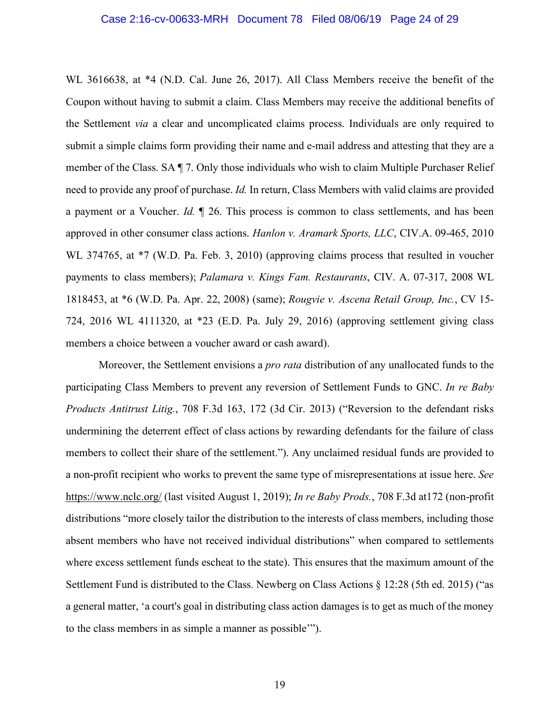#### Case 2:16-cv-00633-MRH Document 78 Filed 08/06/19 Page 24 of 29

WL 3616638, at \*4 (N.D. Cal. June 26, 2017). All Class Members receive the benefit of the Coupon without having to submit a claim. Class Members may receive the additional benefits of the Settlement *via* a clear and uncomplicated claims process. Individuals are only required to submit a simple claims form providing their name and e-mail address and attesting that they are a member of the Class. SA ¶ 7. Only those individuals who wish to claim Multiple Purchaser Relief need to provide any proof of purchase. *Id.* In return, Class Members with valid claims are provided a payment or a Voucher. *Id.* ¶ 26. This process is common to class settlements, and has been approved in other consumer class actions. *Hanlon v. Aramark Sports, LLC*, CIV.A. 09-465, 2010 WL 374765, at  $*7$  (W.D. Pa. Feb. 3, 2010) (approving claims process that resulted in voucher payments to class members); *Palamara v. Kings Fam. Restaurants*, CIV. A. 07-317, 2008 WL 1818453, at \*6 (W.D. Pa. Apr. 22, 2008) (same); *Rougvie v. Ascena Retail Group, Inc.*, CV 15- 724, 2016 WL 4111320, at \*23 (E.D. Pa. July 29, 2016) (approving settlement giving class members a choice between a voucher award or cash award).

Moreover, the Settlement envisions a *pro rata* distribution of any unallocated funds to the participating Class Members to prevent any reversion of Settlement Funds to GNC. *In re Baby Products Antitrust Litig.*, 708 F.3d 163, 172 (3d Cir. 2013) ("Reversion to the defendant risks undermining the deterrent effect of class actions by rewarding defendants for the failure of class members to collect their share of the settlement."). Any unclaimed residual funds are provided to a non-profit recipient who works to prevent the same type of misrepresentations at issue here. *See* https://www.nclc.org/ (last visited August 1, 2019); *In re Baby Prods.*, 708 F.3d at172 (non-profit distributions "more closely tailor the distribution to the interests of class members, including those absent members who have not received individual distributions" when compared to settlements where excess settlement funds escheat to the state). This ensures that the maximum amount of the Settlement Fund is distributed to the Class. Newberg on Class Actions § 12:28 (5th ed. 2015) ("as a general matter, 'a court's goal in distributing class action damages is to get as much of the money to the class members in as simple a manner as possible'").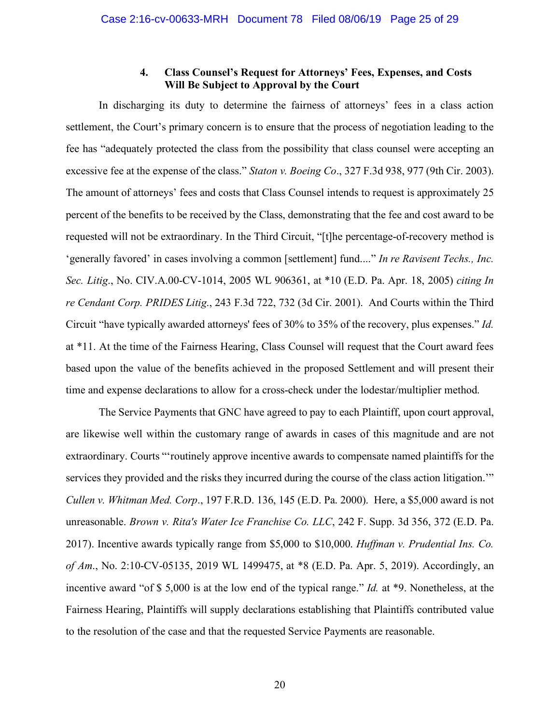### **4. Class Counsel's Request for Attorneys' Fees, Expenses, and Costs Will Be Subject to Approval by the Court**

In discharging its duty to determine the fairness of attorneys' fees in a class action settlement, the Court's primary concern is to ensure that the process of negotiation leading to the fee has "adequately protected the class from the possibility that class counsel were accepting an excessive fee at the expense of the class." *Staton v. Boeing Co*., 327 F.3d 938, 977 (9th Cir. 2003). The amount of attorneys' fees and costs that Class Counsel intends to request is approximately 25 percent of the benefits to be received by the Class, demonstrating that the fee and cost award to be requested will not be extraordinary. In the Third Circuit, "[t]he percentage-of-recovery method is 'generally favored' in cases involving a common [settlement] fund...." *In re Ravisent Techs., Inc. Sec. Litig*., No. CIV.A.00-CV-1014, 2005 WL 906361, at \*10 (E.D. Pa. Apr. 18, 2005) *citing In re Cendant Corp. PRIDES Litig*., 243 F.3d 722, 732 (3d Cir. 2001). And Courts within the Third Circuit "have typically awarded attorneys' fees of 30% to 35% of the recovery, plus expenses." *Id.* at \*11. At the time of the Fairness Hearing, Class Counsel will request that the Court award fees based upon the value of the benefits achieved in the proposed Settlement and will present their time and expense declarations to allow for a cross-check under the lodestar/multiplier method.

The Service Payments that GNC have agreed to pay to each Plaintiff, upon court approval, are likewise well within the customary range of awards in cases of this magnitude and are not extraordinary. Courts "'routinely approve incentive awards to compensate named plaintiffs for the services they provided and the risks they incurred during the course of the class action litigation.'" *Cullen v. Whitman Med. Corp*., 197 F.R.D. 136, 145 (E.D. Pa. 2000). Here, a \$5,000 award is not unreasonable. *Brown v. Rita's Water Ice Franchise Co. LLC*, 242 F. Supp. 3d 356, 372 (E.D. Pa. 2017). Incentive awards typically range from \$5,000 to \$10,000. *Huffman v. Prudential Ins. Co. of Am*., No. 2:10-CV-05135, 2019 WL 1499475, at \*8 (E.D. Pa. Apr. 5, 2019). Accordingly, an incentive award "of \$ 5,000 is at the low end of the typical range." *Id.* at \*9. Nonetheless, at the Fairness Hearing, Plaintiffs will supply declarations establishing that Plaintiffs contributed value to the resolution of the case and that the requested Service Payments are reasonable.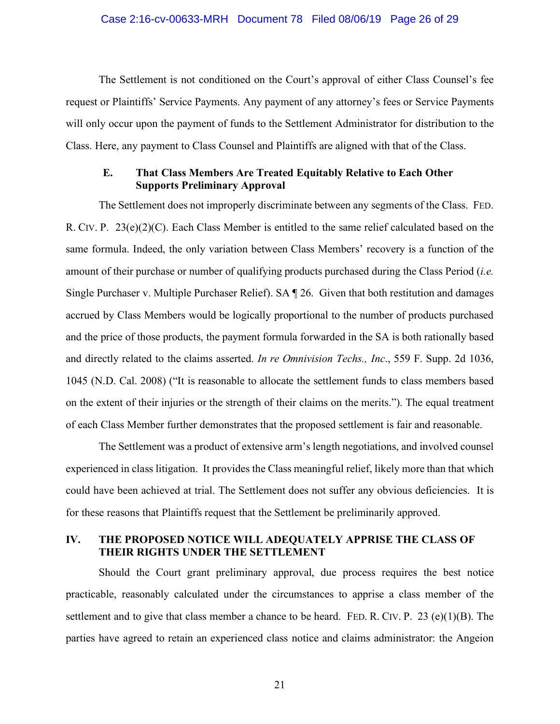#### Case 2:16-cv-00633-MRH Document 78 Filed 08/06/19 Page 26 of 29

The Settlement is not conditioned on the Court's approval of either Class Counsel's fee request or Plaintiffs' Service Payments. Any payment of any attorney's fees or Service Payments will only occur upon the payment of funds to the Settlement Administrator for distribution to the Class. Here, any payment to Class Counsel and Plaintiffs are aligned with that of the Class.

### **E. That Class Members Are Treated Equitably Relative to Each Other Supports Preliminary Approval**

The Settlement does not improperly discriminate between any segments of the Class. FED. R. CIV. P.  $23(e)(2)(C)$ . Each Class Member is entitled to the same relief calculated based on the same formula. Indeed, the only variation between Class Members' recovery is a function of the amount of their purchase or number of qualifying products purchased during the Class Period (*i.e.* Single Purchaser v. Multiple Purchaser Relief). SA ¶ 26. Given that both restitution and damages accrued by Class Members would be logically proportional to the number of products purchased and the price of those products, the payment formula forwarded in the SA is both rationally based and directly related to the claims asserted. *In re Omnivision Techs., Inc*., 559 F. Supp. 2d 1036, 1045 (N.D. Cal. 2008) ("It is reasonable to allocate the settlement funds to class members based on the extent of their injuries or the strength of their claims on the merits."). The equal treatment of each Class Member further demonstrates that the proposed settlement is fair and reasonable.

The Settlement was a product of extensive arm's length negotiations, and involved counsel experienced in class litigation. It provides the Class meaningful relief, likely more than that which could have been achieved at trial. The Settlement does not suffer any obvious deficiencies. It is for these reasons that Plaintiffs request that the Settlement be preliminarily approved.

## **IV. THE PROPOSED NOTICE WILL ADEQUATELY APPRISE THE CLASS OF THEIR RIGHTS UNDER THE SETTLEMENT**

Should the Court grant preliminary approval, due process requires the best notice practicable, reasonably calculated under the circumstances to apprise a class member of the settlement and to give that class member a chance to be heard. FED. R. CIV. P. 23 (e)(1)(B). The parties have agreed to retain an experienced class notice and claims administrator: the Angeion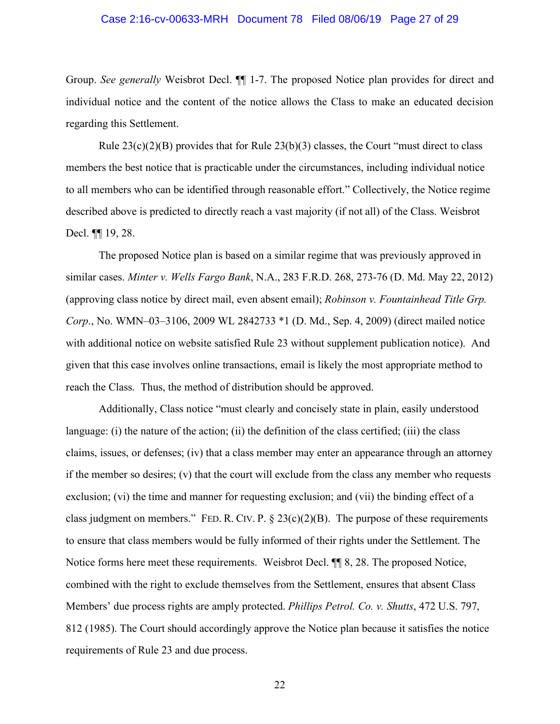#### Case 2:16-cv-00633-MRH Document 78 Filed 08/06/19 Page 27 of 29

Group. *See generally* Weisbrot Decl. ¶¶ 1-7. The proposed Notice plan provides for direct and individual notice and the content of the notice allows the Class to make an educated decision regarding this Settlement.

Rule  $23(c)(2)(B)$  provides that for Rule  $23(b)(3)$  classes, the Court "must direct to class" members the best notice that is practicable under the circumstances, including individual notice to all members who can be identified through reasonable effort." Collectively, the Notice regime described above is predicted to directly reach a vast majority (if not all) of the Class. Weisbrot Decl. ¶¶ 19, 28.

The proposed Notice plan is based on a similar regime that was previously approved in similar cases. *Minter v. Wells Fargo Bank*, N.A., 283 F.R.D. 268, 273-76 (D. Md. May 22, 2012) (approving class notice by direct mail, even absent email); *Robinson v. Fountainhead Title Grp. Corp*., No. WMN–03–3106, 2009 WL 2842733 \*1 (D. Md., Sep. 4, 2009) (direct mailed notice with additional notice on website satisfied Rule 23 without supplement publication notice). And given that this case involves online transactions, email is likely the most appropriate method to reach the Class. Thus, the method of distribution should be approved.

Additionally, Class notice "must clearly and concisely state in plain, easily understood language: (i) the nature of the action; (ii) the definition of the class certified; (iii) the class claims, issues, or defenses; (iv) that a class member may enter an appearance through an attorney if the member so desires; (v) that the court will exclude from the class any member who requests exclusion; (vi) the time and manner for requesting exclusion; and (vii) the binding effect of a class judgment on members." FED. R. CIV. P.  $\S 23(c)(2)(B)$ . The purpose of these requirements to ensure that class members would be fully informed of their rights under the Settlement. The Notice forms here meet these requirements. Weisbrot Decl. ¶¶ 8, 28. The proposed Notice, combined with the right to exclude themselves from the Settlement, ensures that absent Class Members' due process rights are amply protected. *Phillips Petrol. Co. v. Shutts*, 472 U.S. 797, 812 (1985). The Court should accordingly approve the Notice plan because it satisfies the notice requirements of Rule 23 and due process.

22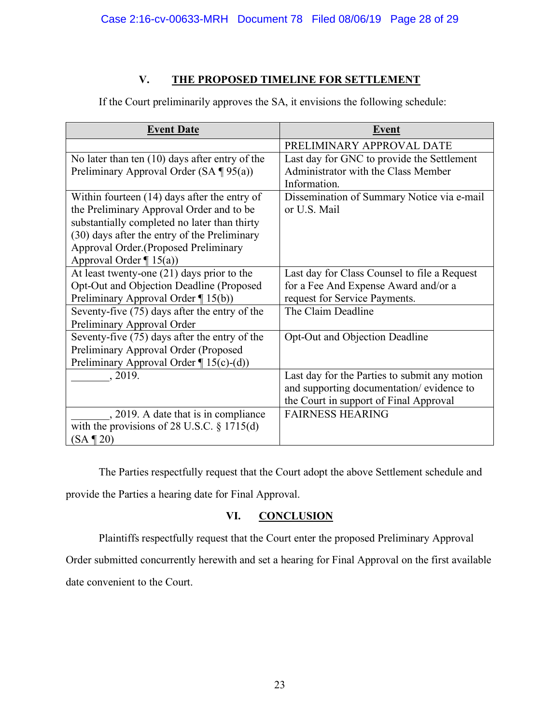## **V. THE PROPOSED TIMELINE FOR SETTLEMENT**

| <b>Event Date</b>                                | <b>Event</b>                                  |
|--------------------------------------------------|-----------------------------------------------|
|                                                  | PRELIMINARY APPROVAL DATE                     |
| No later than ten $(10)$ days after entry of the | Last day for GNC to provide the Settlement    |
| Preliminary Approval Order (SA $\P$ 95(a))       | Administrator with the Class Member           |
|                                                  | Information.                                  |
| Within fourteen $(14)$ days after the entry of   | Dissemination of Summary Notice via e-mail    |
| the Preliminary Approval Order and to be         | or U.S. Mail                                  |
| substantially completed no later than thirty     |                                               |
| (30) days after the entry of the Preliminary     |                                               |
| Approval Order. (Proposed Preliminary            |                                               |
| Approval Order $\P$ 15(a))                       |                                               |
| At least twenty-one $(21)$ days prior to the     | Last day for Class Counsel to file a Request  |
| Opt-Out and Objection Deadline (Proposed         | for a Fee And Expense Award and/or a          |
| Preliminary Approval Order ¶ 15(b))              | request for Service Payments.                 |
| Seventy-five (75) days after the entry of the    | The Claim Deadline                            |
| Preliminary Approval Order                       |                                               |
| Seventy-five (75) days after the entry of the    | Opt-Out and Objection Deadline                |
| Preliminary Approval Order (Proposed             |                                               |
| Preliminary Approval Order $\P$ 15(c)-(d))       |                                               |
| , 2019.                                          | Last day for the Parties to submit any motion |
|                                                  | and supporting documentation/evidence to      |
|                                                  | the Court in support of Final Approval        |
| , 2019. A date that is in compliance             | <b>FAIRNESS HEARING</b>                       |
| with the provisions of 28 U.S.C. $\S 1715(d)$    |                                               |
| $(SA \P 20)$                                     |                                               |

If the Court preliminarily approves the SA, it envisions the following schedule:

The Parties respectfully request that the Court adopt the above Settlement schedule and provide the Parties a hearing date for Final Approval.

## **VI. CONCLUSION**

Plaintiffs respectfully request that the Court enter the proposed Preliminary Approval

Order submitted concurrently herewith and set a hearing for Final Approval on the first available

date convenient to the Court.